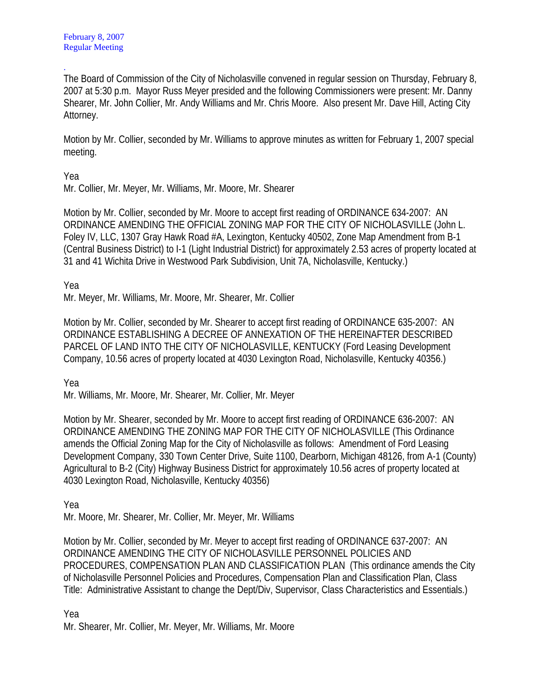. The Board of Commission of the City of Nicholasville convened in regular session on Thursday, February 8, 2007 at 5:30 p.m. Mayor Russ Meyer presided and the following Commissioners were present: Mr. Danny Shearer, Mr. John Collier, Mr. Andy Williams and Mr. Chris Moore. Also present Mr. Dave Hill, Acting City Attorney.

Motion by Mr. Collier, seconded by Mr. Williams to approve minutes as written for February 1, 2007 special meeting.

Yea

Mr. Collier, Mr. Meyer, Mr. Williams, Mr. Moore, Mr. Shearer

Motion by Mr. Collier, seconded by Mr. Moore to accept first reading of ORDINANCE 634-2007: AN ORDINANCE AMENDING THE OFFICIAL ZONING MAP FOR THE CITY OF NICHOLASVILLE (John L. Foley IV, LLC, 1307 Gray Hawk Road #A, Lexington, Kentucky 40502, Zone Map Amendment from B-1 (Central Business District) to I-1 (Light Industrial District) for approximately 2.53 acres of property located at 31 and 41 Wichita Drive in Westwood Park Subdivision, Unit 7A, Nicholasville, Kentucky.)

Yea

Mr. Meyer, Mr. Williams, Mr. Moore, Mr. Shearer, Mr. Collier

Motion by Mr. Collier, seconded by Mr. Shearer to accept first reading of ORDINANCE 635-2007: AN ORDINANCE ESTABLISHING A DECREE OF ANNEXATION OF THE HEREINAFTER DESCRIBED PARCEL OF LAND INTO THE CITY OF NICHOLASVILLE, KENTUCKY (Ford Leasing Development Company, 10.56 acres of property located at 4030 Lexington Road, Nicholasville, Kentucky 40356.)

Yea

Mr. Williams, Mr. Moore, Mr. Shearer, Mr. Collier, Mr. Meyer

Motion by Mr. Shearer, seconded by Mr. Moore to accept first reading of ORDINANCE 636-2007: AN ORDINANCE AMENDING THE ZONING MAP FOR THE CITY OF NICHOLASVILLE (This Ordinance amends the Official Zoning Map for the City of Nicholasville as follows: Amendment of Ford Leasing Development Company, 330 Town Center Drive, Suite 1100, Dearborn, Michigan 48126, from A-1 (County) Agricultural to B-2 (City) Highway Business District for approximately 10.56 acres of property located at 4030 Lexington Road, Nicholasville, Kentucky 40356)

Yea

Mr. Moore, Mr. Shearer, Mr. Collier, Mr. Meyer, Mr. Williams

Motion by Mr. Collier, seconded by Mr. Meyer to accept first reading of ORDINANCE 637-2007: AN ORDINANCE AMENDING THE CITY OF NICHOLASVILLE PERSONNEL POLICIES AND PROCEDURES, COMPENSATION PLAN AND CLASSIFICATION PLAN (This ordinance amends the City of Nicholasville Personnel Policies and Procedures, Compensation Plan and Classification Plan, Class Title: Administrative Assistant to change the Dept/Div, Supervisor, Class Characteristics and Essentials.)

Yea

Mr. Shearer, Mr. Collier, Mr. Meyer, Mr. Williams, Mr. Moore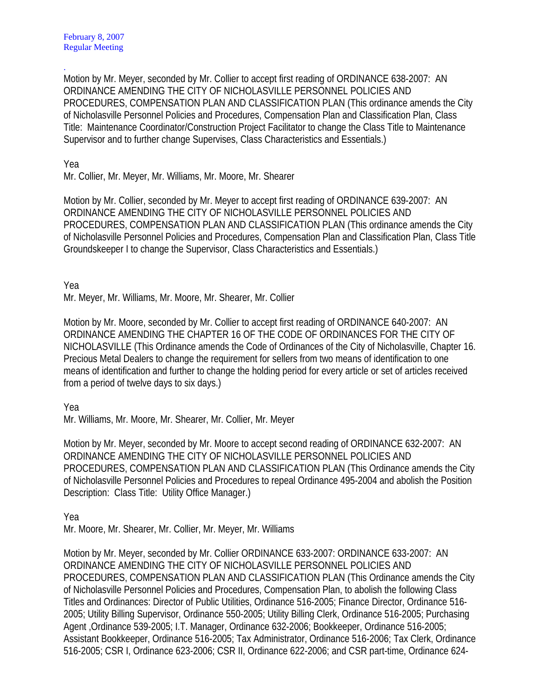. Motion by Mr. Meyer, seconded by Mr. Collier to accept first reading of ORDINANCE 638-2007: AN ORDINANCE AMENDING THE CITY OF NICHOLASVILLE PERSONNEL POLICIES AND PROCEDURES, COMPENSATION PLAN AND CLASSIFICATION PLAN (This ordinance amends the City of Nicholasville Personnel Policies and Procedures, Compensation Plan and Classification Plan, Class Title: Maintenance Coordinator/Construction Project Facilitator to change the Class Title to Maintenance Supervisor and to further change Supervises, Class Characteristics and Essentials.)

Yea

Mr. Collier, Mr. Meyer, Mr. Williams, Mr. Moore, Mr. Shearer

Motion by Mr. Collier, seconded by Mr. Meyer to accept first reading of ORDINANCE 639-2007: AN ORDINANCE AMENDING THE CITY OF NICHOLASVILLE PERSONNEL POLICIES AND PROCEDURES, COMPENSATION PLAN AND CLASSIFICATION PLAN (This ordinance amends the City of Nicholasville Personnel Policies and Procedures, Compensation Plan and Classification Plan, Class Title Groundskeeper I to change the Supervisor, Class Characteristics and Essentials.)

Yea

Mr. Meyer, Mr. Williams, Mr. Moore, Mr. Shearer, Mr. Collier

Motion by Mr. Moore, seconded by Mr. Collier to accept first reading of ORDINANCE 640-2007: AN ORDINANCE AMENDING THE CHAPTER 16 OF THE CODE OF ORDINANCES FOR THE CITY OF NICHOLASVILLE (This Ordinance amends the Code of Ordinances of the City of Nicholasville, Chapter 16. Precious Metal Dealers to change the requirement for sellers from two means of identification to one means of identification and further to change the holding period for every article or set of articles received from a period of twelve days to six days.)

Yea

Mr. Williams, Mr. Moore, Mr. Shearer, Mr. Collier, Mr. Meyer

Motion by Mr. Meyer, seconded by Mr. Moore to accept second reading of ORDINANCE 632-2007: AN ORDINANCE AMENDING THE CITY OF NICHOLASVILLE PERSONNEL POLICIES AND PROCEDURES, COMPENSATION PLAN AND CLASSIFICATION PLAN (This Ordinance amends the City of Nicholasville Personnel Policies and Procedures to repeal Ordinance 495-2004 and abolish the Position Description: Class Title: Utility Office Manager.)

Yea

Mr. Moore, Mr. Shearer, Mr. Collier, Mr. Meyer, Mr. Williams

Motion by Mr. Meyer, seconded by Mr. Collier ORDINANCE 633-2007: ORDINANCE 633-2007: AN ORDINANCE AMENDING THE CITY OF NICHOLASVILLE PERSONNEL POLICIES AND PROCEDURES, COMPENSATION PLAN AND CLASSIFICATION PLAN (This Ordinance amends the City of Nicholasville Personnel Policies and Procedures, Compensation Plan, to abolish the following Class Titles and Ordinances: Director of Public Utilities, Ordinance 516-2005; Finance Director, Ordinance 516- 2005; Utility Billing Supervisor, Ordinance 550-2005; Utility Billing Clerk, Ordinance 516-2005; Purchasing Agent ,Ordinance 539-2005; I.T. Manager, Ordinance 632-2006; Bookkeeper, Ordinance 516-2005; Assistant Bookkeeper, Ordinance 516-2005; Tax Administrator, Ordinance 516-2006; Tax Clerk, Ordinance 516-2005; CSR I, Ordinance 623-2006; CSR II, Ordinance 622-2006; and CSR part-time, Ordinance 624-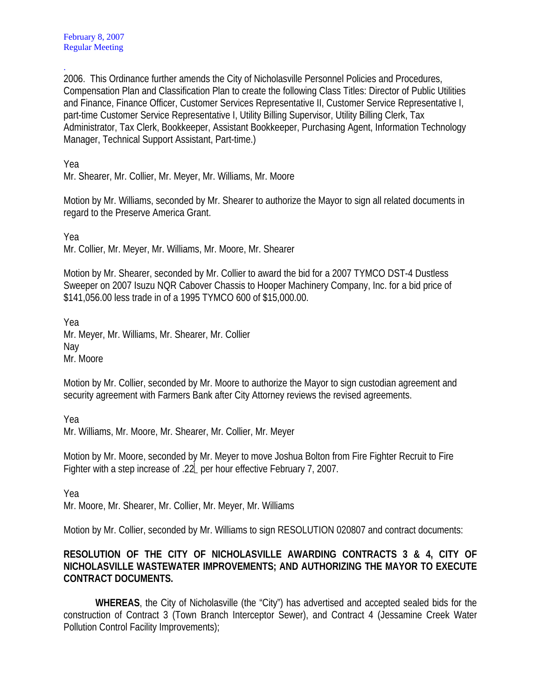. 2006. This Ordinance further amends the City of Nicholasville Personnel Policies and Procedures, Compensation Plan and Classification Plan to create the following Class Titles: Director of Public Utilities and Finance, Finance Officer, Customer Services Representative II, Customer Service Representative I, part-time Customer Service Representative I, Utility Billing Supervisor, Utility Billing Clerk, Tax Administrator, Tax Clerk, Bookkeeper, Assistant Bookkeeper, Purchasing Agent, Information Technology Manager, Technical Support Assistant, Part-time.)

Yea

Mr. Shearer, Mr. Collier, Mr. Meyer, Mr. Williams, Mr. Moore

Motion by Mr. Williams, seconded by Mr. Shearer to authorize the Mayor to sign all related documents in regard to the Preserve America Grant.

Yea Mr. Collier, Mr. Meyer, Mr. Williams, Mr. Moore, Mr. Shearer

Motion by Mr. Shearer, seconded by Mr. Collier to award the bid for a 2007 TYMCO DST-4 Dustless Sweeper on 2007 Isuzu NQR Cabover Chassis to Hooper Machinery Company, Inc. for a bid price of \$141,056.00 less trade in of a 1995 TYMCO 600 of \$15,000.00.

Yea Mr. Meyer, Mr. Williams, Mr. Shearer, Mr. Collier Nay Mr. Moore

Motion by Mr. Collier, seconded by Mr. Moore to authorize the Mayor to sign custodian agreement and security agreement with Farmers Bank after City Attorney reviews the revised agreements.

Yea

Mr. Williams, Mr. Moore, Mr. Shearer, Mr. Collier, Mr. Meyer

Motion by Mr. Moore, seconded by Mr. Meyer to move Joshua Bolton from Fire Fighter Recruit to Fire Fighter with a step increase of .22 per hour effective February 7, 2007.

Yea

Mr. Moore, Mr. Shearer, Mr. Collier, Mr. Meyer, Mr. Williams

Motion by Mr. Collier, seconded by Mr. Williams to sign RESOLUTION 020807 and contract documents:

## **RESOLUTION OF THE CITY OF NICHOLASVILLE AWARDING CONTRACTS 3 & 4, CITY OF NICHOLASVILLE WASTEWATER IMPROVEMENTS; AND AUTHORIZING THE MAYOR TO EXECUTE CONTRACT DOCUMENTS.**

**WHEREAS**, the City of Nicholasville (the "City") has advertised and accepted sealed bids for the construction of Contract 3 (Town Branch Interceptor Sewer), and Contract 4 (Jessamine Creek Water Pollution Control Facility Improvements);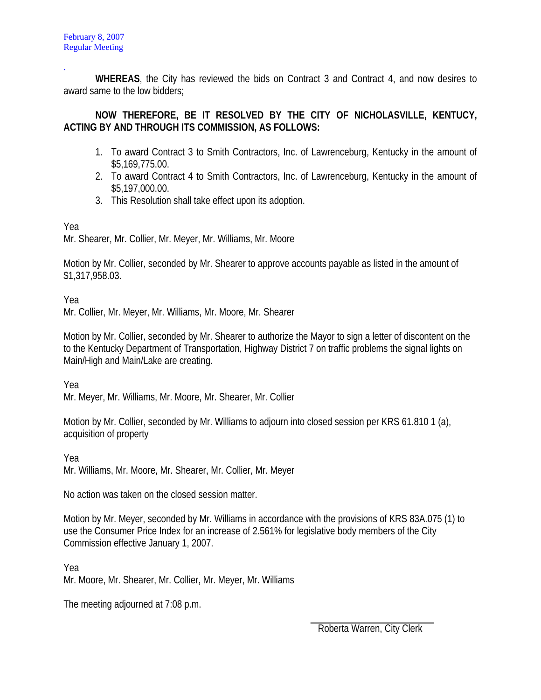. **WHEREAS**, the City has reviewed the bids on Contract 3 and Contract 4, and now desires to award same to the low bidders;

## **NOW THEREFORE, BE IT RESOLVED BY THE CITY OF NICHOLASVILLE, KENTUCY, ACTING BY AND THROUGH ITS COMMISSION, AS FOLLOWS:**

- 1. To award Contract 3 to Smith Contractors, Inc. of Lawrenceburg, Kentucky in the amount of \$5,169,775.00.
- 2. To award Contract 4 to Smith Contractors, Inc. of Lawrenceburg, Kentucky in the amount of \$5,197,000.00.
- 3. This Resolution shall take effect upon its adoption.

Yea

Mr. Shearer, Mr. Collier, Mr. Meyer, Mr. Williams, Mr. Moore

Motion by Mr. Collier, seconded by Mr. Shearer to approve accounts payable as listed in the amount of \$1,317,958.03.

Yea

Mr. Collier, Mr. Meyer, Mr. Williams, Mr. Moore, Mr. Shearer

Motion by Mr. Collier, seconded by Mr. Shearer to authorize the Mayor to sign a letter of discontent on the to the Kentucky Department of Transportation, Highway District 7 on traffic problems the signal lights on Main/High and Main/Lake are creating.

Yea

Mr. Meyer, Mr. Williams, Mr. Moore, Mr. Shearer, Mr. Collier

Motion by Mr. Collier, seconded by Mr. Williams to adjourn into closed session per KRS 61.810 1 (a), acquisition of property

Yea Mr. Williams, Mr. Moore, Mr. Shearer, Mr. Collier, Mr. Meyer

No action was taken on the closed session matter.

Motion by Mr. Meyer, seconded by Mr. Williams in accordance with the provisions of KRS 83A.075 (1) to use the Consumer Price Index for an increase of 2.561% for legislative body members of the City Commission effective January 1, 2007.

Yea

Mr. Moore, Mr. Shearer, Mr. Collier, Mr. Meyer, Mr. Williams

The meeting adjourned at 7:08 p.m.